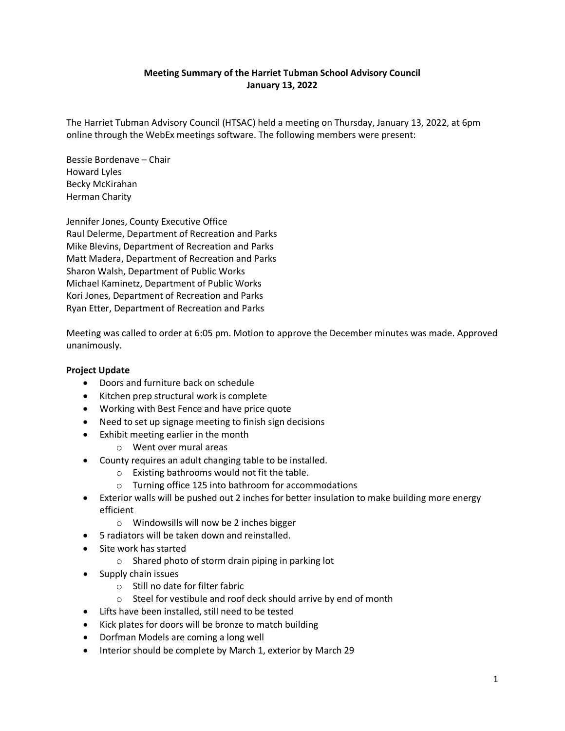## **Meeting Summary of the Harriet Tubman School Advisory Council January 13, 2022**

The Harriet Tubman Advisory Council (HTSAC) held a meeting on Thursday, January 13, 2022, at 6pm online through the WebEx meetings software. The following members were present:

Bessie Bordenave – Chair Howard Lyles Becky McKirahan Herman Charity

Jennifer Jones, County Executive Office Raul Delerme, Department of Recreation and Parks Mike Blevins, Department of Recreation and Parks Matt Madera, Department of Recreation and Parks Sharon Walsh, Department of Public Works Michael Kaminetz, Department of Public Works Kori Jones, Department of Recreation and Parks Ryan Etter, Department of Recreation and Parks

Meeting was called to order at 6:05 pm. Motion to approve the December minutes was made. Approved unanimously.

## **Project Update**

- Doors and furniture back on schedule
- Kitchen prep structural work is complete
- Working with Best Fence and have price quote
- Need to set up signage meeting to finish sign decisions
- Exhibit meeting earlier in the month
	- o Went over mural areas
- County requires an adult changing table to be installed.
	- o Existing bathrooms would not fit the table.
	- o Turning office 125 into bathroom for accommodations
- Exterior walls will be pushed out 2 inches for better insulation to make building more energy efficient
	- o Windowsills will now be 2 inches bigger
- 5 radiators will be taken down and reinstalled.
- Site work has started
	- o Shared photo of storm drain piping in parking lot
- Supply chain issues
	- o Still no date for filter fabric
	- o Steel for vestibule and roof deck should arrive by end of month
- Lifts have been installed, still need to be tested
- Kick plates for doors will be bronze to match building
- Dorfman Models are coming a long well
- Interior should be complete by March 1, exterior by March 29